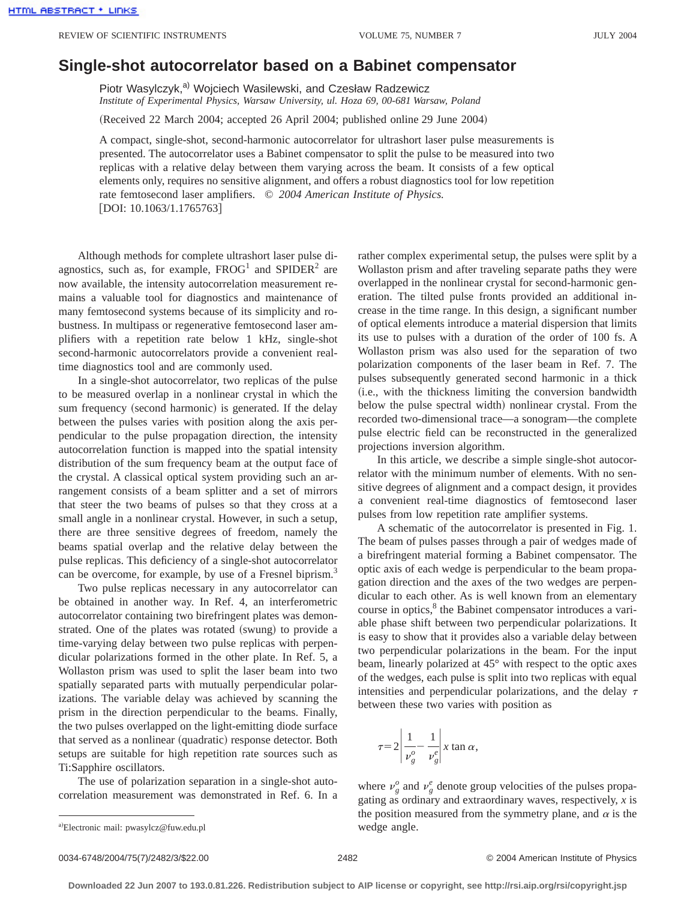## **Single-shot autocorrelator based on a Babinet compensator**

Piotr Wasylczyk,<sup>a)</sup> Wojciech Wasilewski, and Czesław Radzewicz *Institute of Experimental Physics, Warsaw University, ul. Hoza 69, 00-681 Warsaw, Poland*

(Received 22 March 2004; accepted 26 April 2004; published online 29 June 2004)

A compact, single-shot, second-harmonic autocorrelator for ultrashort laser pulse measurements is presented. The autocorrelator uses a Babinet compensator to split the pulse to be measured into two replicas with a relative delay between them varying across the beam. It consists of a few optical elements only, requires no sensitive alignment, and offers a robust diagnostics tool for low repetition rate femtosecond laser amplifiers. © *2004 American Institute of Physics.*  $[DOI: 10.1063/1.1765763]$ 

Although methods for complete ultrashort laser pulse diagnostics, such as, for example,  $FROG<sup>1</sup>$  and  $SPIDER<sup>2</sup>$  are now available, the intensity autocorrelation measurement remains a valuable tool for diagnostics and maintenance of many femtosecond systems because of its simplicity and robustness. In multipass or regenerative femtosecond laser amplifiers with a repetition rate below 1 kHz, single-shot second-harmonic autocorrelators provide a convenient realtime diagnostics tool and are commonly used.

In a single-shot autocorrelator, two replicas of the pulse to be measured overlap in a nonlinear crystal in which the sum frequency (second harmonic) is generated. If the delay between the pulses varies with position along the axis perpendicular to the pulse propagation direction, the intensity autocorrelation function is mapped into the spatial intensity distribution of the sum frequency beam at the output face of the crystal. A classical optical system providing such an arrangement consists of a beam splitter and a set of mirrors that steer the two beams of pulses so that they cross at a small angle in a nonlinear crystal. However, in such a setup, there are three sensitive degrees of freedom, namely the beams spatial overlap and the relative delay between the pulse replicas. This deficiency of a single-shot autocorrelator can be overcome, for example, by use of a Fresnel biprism.<sup>3</sup>

Two pulse replicas necessary in any autocorrelator can be obtained in another way. In Ref. 4, an interferometric autocorrelator containing two birefringent plates was demonstrated. One of the plates was rotated (swung) to provide a time-varying delay between two pulse replicas with perpendicular polarizations formed in the other plate. In Ref. 5, a Wollaston prism was used to split the laser beam into two spatially separated parts with mutually perpendicular polarizations. The variable delay was achieved by scanning the prism in the direction perpendicular to the beams. Finally, the two pulses overlapped on the light-emitting diode surface that served as a nonlinear (quadratic) response detector. Both setups are suitable for high repetition rate sources such as Ti:Sapphire oscillators.

The use of polarization separation in a single-shot autocorrelation measurement was demonstrated in Ref. 6. In a rather complex experimental setup, the pulses were split by a Wollaston prism and after traveling separate paths they were overlapped in the nonlinear crystal for second-harmonic generation. The tilted pulse fronts provided an additional increase in the time range. In this design, a significant number of optical elements introduce a material dispersion that limits its use to pulses with a duration of the order of 100 fs. A Wollaston prism was also used for the separation of two polarization components of the laser beam in Ref. 7. The pulses subsequently generated second harmonic in a thick (i.e., with the thickness limiting the conversion bandwidth below the pulse spectral width) nonlinear crystal. From the recorded two-dimensional trace—a sonogram—the complete pulse electric field can be reconstructed in the generalized projections inversion algorithm.

In this article, we describe a simple single-shot autocorrelator with the minimum number of elements. With no sensitive degrees of alignment and a compact design, it provides a convenient real-time diagnostics of femtosecond laser pulses from low repetition rate amplifier systems.

A schematic of the autocorrelator is presented in Fig. 1. The beam of pulses passes through a pair of wedges made of a birefringent material forming a Babinet compensator. The optic axis of each wedge is perpendicular to the beam propagation direction and the axes of the two wedges are perpendicular to each other. As is well known from an elementary course in optics,<sup>8</sup> the Babinet compensator introduces a variable phase shift between two perpendicular polarizations. It is easy to show that it provides also a variable delay between two perpendicular polarizations in the beam. For the input beam, linearly polarized at 45° with respect to the optic axes of the wedges, each pulse is split into two replicas with equal intensities and perpendicular polarizations, and the delay  $\tau$ between these two varies with position as

$$
\tau = 2 \left| \frac{1}{\nu_g^o} - \frac{1}{\nu_g^e} \right| x \tan \alpha,
$$

where  $v_g^o$  and  $v_g^e$  denote group velocities of the pulses propagating as ordinary and extraordinary waves, respectively, *x* is the position measured from the symmetry plane, and  $\alpha$  is the

wedge angle. <sup>a</sup>! Electronic mail: pwasylcz@fuw.edu.pl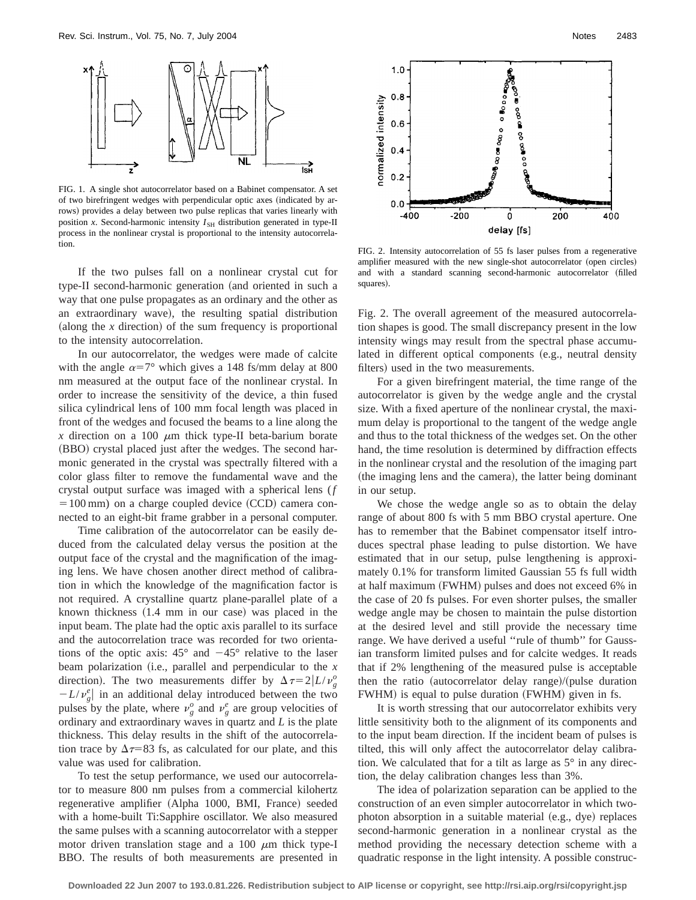

FIG. 1. A single shot autocorrelator based on a Babinet compensator. A set of two birefringent wedges with perpendicular optic axes (indicated by arrows) provides a delay between two pulse replicas that varies linearly with position *x*. Second-harmonic intensity  $I_{SH}$  distribution generated in type-II process in the nonlinear crystal is proportional to the intensity autocorrelation.

If the two pulses fall on a nonlinear crystal cut for type-II second-harmonic generation (and oriented in such a way that one pulse propagates as an ordinary and the other as an extraordinary wave), the resulting spatial distribution (along the  $x$  direction) of the sum frequency is proportional to the intensity autocorrelation.

In our autocorrelator, the wedges were made of calcite with the angle  $\alpha=7^{\circ}$  which gives a 148 fs/mm delay at 800 nm measured at the output face of the nonlinear crystal. In order to increase the sensitivity of the device, a thin fused silica cylindrical lens of 100 mm focal length was placed in front of the wedges and focused the beams to a line along the *x* direction on a 100  $\mu$ m thick type-II beta-barium borate  $(BBO)$  crystal placed just after the wedges. The second harmonic generated in the crystal was spectrally filtered with a color glass filter to remove the fundamental wave and the crystal output surface was imaged with a spherical lens (*f*  $=100 \text{ mm}$ ) on a charge coupled device (CCD) camera connected to an eight-bit frame grabber in a personal computer.

Time calibration of the autocorrelator can be easily deduced from the calculated delay versus the position at the output face of the crystal and the magnification of the imaging lens. We have chosen another direct method of calibration in which the knowledge of the magnification factor is not required. A crystalline quartz plane-parallel plate of a known thickness  $(1.4 \text{ mm in our case})$  was placed in the input beam. The plate had the optic axis parallel to its surface and the autocorrelation trace was recorded for two orientations of the optic axis:  $45^{\circ}$  and  $-45^{\circ}$  relative to the laser beam polarization (i.e., parallel and perpendicular to the  $x$ direction). The two measurements differ by  $\Delta \tau = 2|L/v_g^o$  $-L/\nu_g^e$  in an additional delay introduced between the two pulses by the plate, where  $v_g^o$  and  $v_g^e$  are group velocities of ordinary and extraordinary waves in quartz and *L* is the plate thickness. This delay results in the shift of the autocorrelation trace by  $\Delta \tau = 83$  fs, as calculated for our plate, and this value was used for calibration.

To test the setup performance, we used our autocorrelator to measure 800 nm pulses from a commercial kilohertz regenerative amplifier (Alpha 1000, BMI, France) seeded with a home-built Ti:Sapphire oscillator. We also measured the same pulses with a scanning autocorrelator with a stepper motor driven translation stage and a 100  $\mu$ m thick type-I BBO. The results of both measurements are presented in



FIG. 2. Intensity autocorrelation of 55 fs laser pulses from a regenerative amplifier measured with the new single-shot autocorrelator (open circles) and with a standard scanning second-harmonic autocorrelator (filled squares).

Fig. 2. The overall agreement of the measured autocorrelation shapes is good. The small discrepancy present in the low intensity wings may result from the spectral phase accumulated in different optical components (e.g., neutral density filters) used in the two measurements.

For a given birefringent material, the time range of the autocorrelator is given by the wedge angle and the crystal size. With a fixed aperture of the nonlinear crystal, the maximum delay is proportional to the tangent of the wedge angle and thus to the total thickness of the wedges set. On the other hand, the time resolution is determined by diffraction effects in the nonlinear crystal and the resolution of the imaging part (the imaging lens and the camera), the latter being dominant in our setup.

We chose the wedge angle so as to obtain the delay range of about 800 fs with 5 mm BBO crystal aperture. One has to remember that the Babinet compensator itself introduces spectral phase leading to pulse distortion. We have estimated that in our setup, pulse lengthening is approximately 0.1% for transform limited Gaussian 55 fs full width at half maximum (FWHM) pulses and does not exceed 6% in the case of 20 fs pulses. For even shorter pulses, the smaller wedge angle may be chosen to maintain the pulse distortion at the desired level and still provide the necessary time range. We have derived a useful ''rule of thumb'' for Gaussian transform limited pulses and for calcite wedges. It reads that if 2% lengthening of the measured pulse is acceptable then the ratio (autocorrelator delay range)/(pulse duration FWHM) is equal to pulse duration (FWHM) given in fs.

It is worth stressing that our autocorrelator exhibits very little sensitivity both to the alignment of its components and to the input beam direction. If the incident beam of pulses is tilted, this will only affect the autocorrelator delay calibration. We calculated that for a tilt as large as 5° in any direction, the delay calibration changes less than 3%.

The idea of polarization separation can be applied to the construction of an even simpler autocorrelator in which twophoton absorption in a suitable material (e.g., dye) replaces second-harmonic generation in a nonlinear crystal as the method providing the necessary detection scheme with a quadratic response in the light intensity. A possible construc